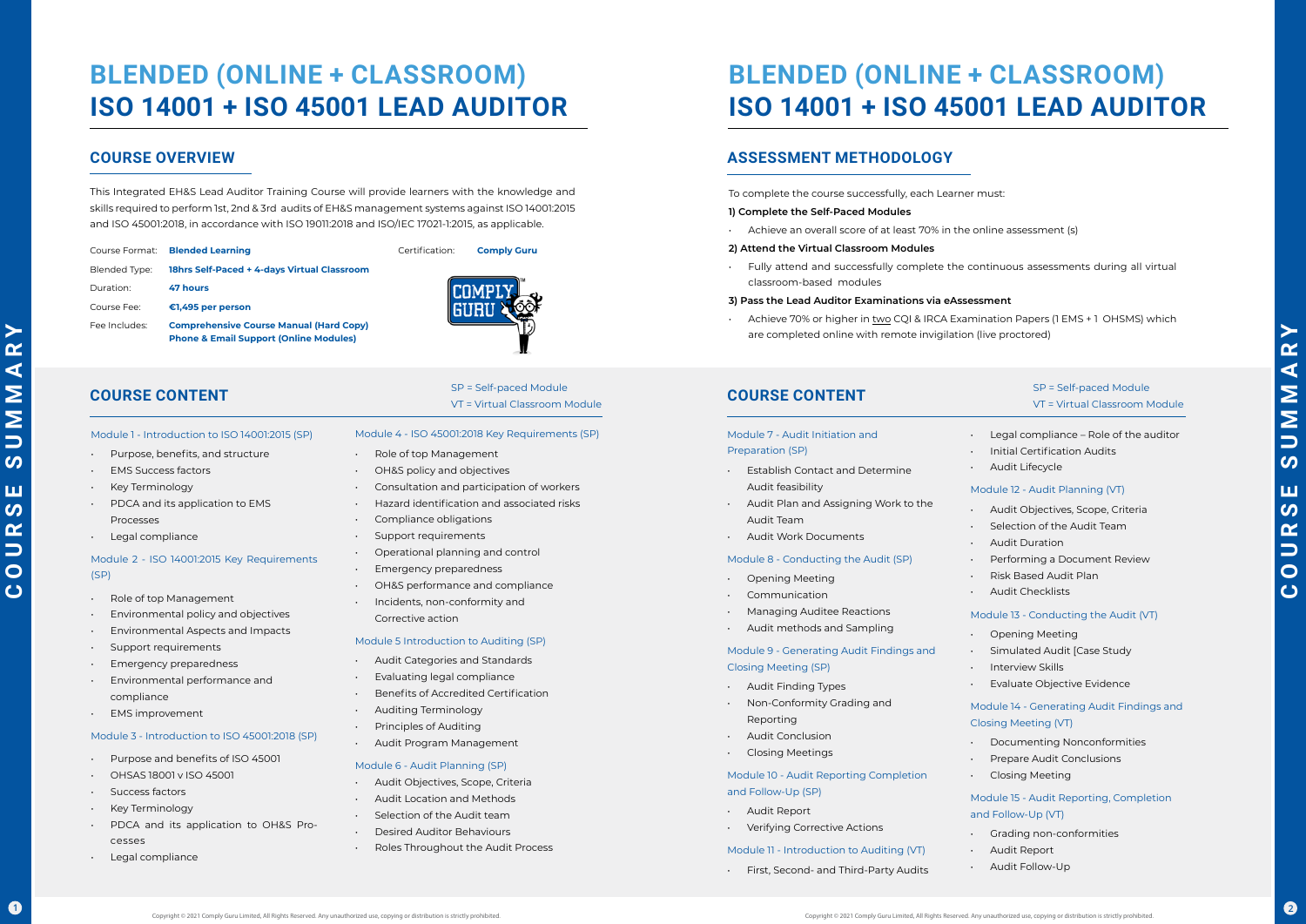$\blacktriangleright$ 

This Integrated EH&S Lead Auditor Training Course will provide learners with the knowledge and skills required to perform 1st, 2nd & 3rd audits of EH&S management systems against ISO 14001:2015 and ISO 45001:2018, in accordance with ISO 19011:2018 and ISO/IEC 17021-1:2015, as applicable.

- Role of top Management
- Environmental policy and objectives
- Environmental Aspects and Impacts
- Support requirements
- **Emergency preparedness**
- Environmental performance and compliance
- **EMS** improvement

- Purpose and benefits of ISO 45001
- OHSAS 18001 v ISO 45001
- Success factors
- Key Terminology
- PDCA and its application to OH&S Processes
- Legal compliance

## **BLENDED (ONLINE + CLASSROOM) ISO 14001 + ISO 45001 LEAD AUDITOR**

#### Module 1 - Introduction to ISO 14001:2015 (SP)

- Purpose, benefits, and structure
- EMS Success factors
- 
- PDCA and its application to EMS Processes
- 

• Key Terminology • Legal compliance (SP)

## Module 2 - ISO 14001:2015 Key Requirements

- Role of top Management
- OH&S policy and objectives
- Consultation and participation of workers
- Hazard identification and associated risks
- Compliance obligations
- Support requirements
- Operational planning and control
- Emergency preparedness
- OH&S performance and compliance
- Incidents, non-conformity and Corrective action

#### Module 3 - Introduction to ISO 45001:2018 (SP)

## **COURSE CONTENT**

#### Module 4 - ISO 45001:2018 Key Requirements (SP)

Achieve 70% or higher in two CQI & IRCA Examination Papers (1 EMS + 1 OHSMS) which are completed online with remote invigilation (live proctored)

#### Module 5 Introduction to Auditing (SP)

- Audit Categories and Standards
- Evaluating legal compliance
- Benefits of Accredited Certification
- Auditing Terminology
- Principles of Auditing
- Audit Program Management

### Module 6 - Audit Planning (SP)

- Audit Objectives, Scope, Criteria
- Audit Location and Methods
- Selection of the Audit team
- Desired Auditor Behaviours
- Roles Throughout the Audit Process

|               | Course Format: Blended Learning                                                                     | Certification |
|---------------|-----------------------------------------------------------------------------------------------------|---------------|
| Blended Type: | 18hrs Self-Paced + 4-days Virtual Classroom                                                         |               |
| Duration:     | 47 hours                                                                                            |               |
| Course Fee:   | €1,495 per person                                                                                   |               |
| Fee Includes: | <b>Comprehensive Course Manual (Hard Copy)</b><br><b>Phone &amp; Email Support (Online Modules)</b> |               |

# **BLENDED (ONLINE + CLASSROOM) ISO 14001 + ISO 45001 LEAD AUDITOR**

## **COURSE OVERVIEW**

## **COURSE CONTENT**

To complete the course successfully, each Learner must:

#### **1) Complete the Self-Paced Modules**

• Achieve an overall score of at least 70% in the online assessment (s)

#### **2) Attend the Virtual Classroom Modules**

• Fully attend and successfully complete the continuous assessments during all virtual classroom-based modules

#### **3) Pass the Lead Auditor Examinations via eAssessment**

## **ASSESSMENT METHODOLOGY**

#### Module 7 - Audit Initiation and Preparation (SP) • Establish Contact and Determine Audit feasibility • Audit Plan and Assigning Work to the Audit Team • Audit Work Documents Module 8 - Conducting the Audit (SP) • Opening Meeting **Communication** • Managing Auditee Reactions • Audit methods and Sampling Module 9 - Generating Audit Findings and Closing Meeting (SP) • Audit Finding Types • Non-Conformity Grading and Reporting • Audit Conclusion • Closing Meetings Module 10 - Audit Reporting Completion and Follow-Up (SP) • Audit Report **Verifying Corrective Actions** Module 11 - Introduction to Auditing (VT) • First, Second- and Third-Party Audits • Initial Certification Audits Audit Lifecycle Module 12 - Audit Planning (VT) • Audit Objectives, Scope, Criteria Selection of the Audit Team • Audit Duration Performing a Document Review • Risk Based Audit Plan • Audit Checklists Module 13 - Conducting the Audit (VT) • Opening Meeting • Simulated Audit [Case Study • Interview Skills • Evaluate Objective Evidence Module 14 - Generating Audit Findings and Closing Meeting (VT) • Documenting Nonconformities • Prepare Audit Conclusions • Closing Meeting Module 15 - Audit Reporting, Completion and Follow-Up (VT) • Grading non-conformities • Audit Report • Audit Follow-Up

- Legal compliance Role of the auditor
- 
- 
- 
- 
- 
- 
- 
- 
- 
- 
- 
- 
- 
- 
- 
- 
- 
- 

### SP = Self-paced Module VT = Virtual Classroom Module

**Comply Guru** 

SP = Self-paced Module VT = Virtual Classroom Module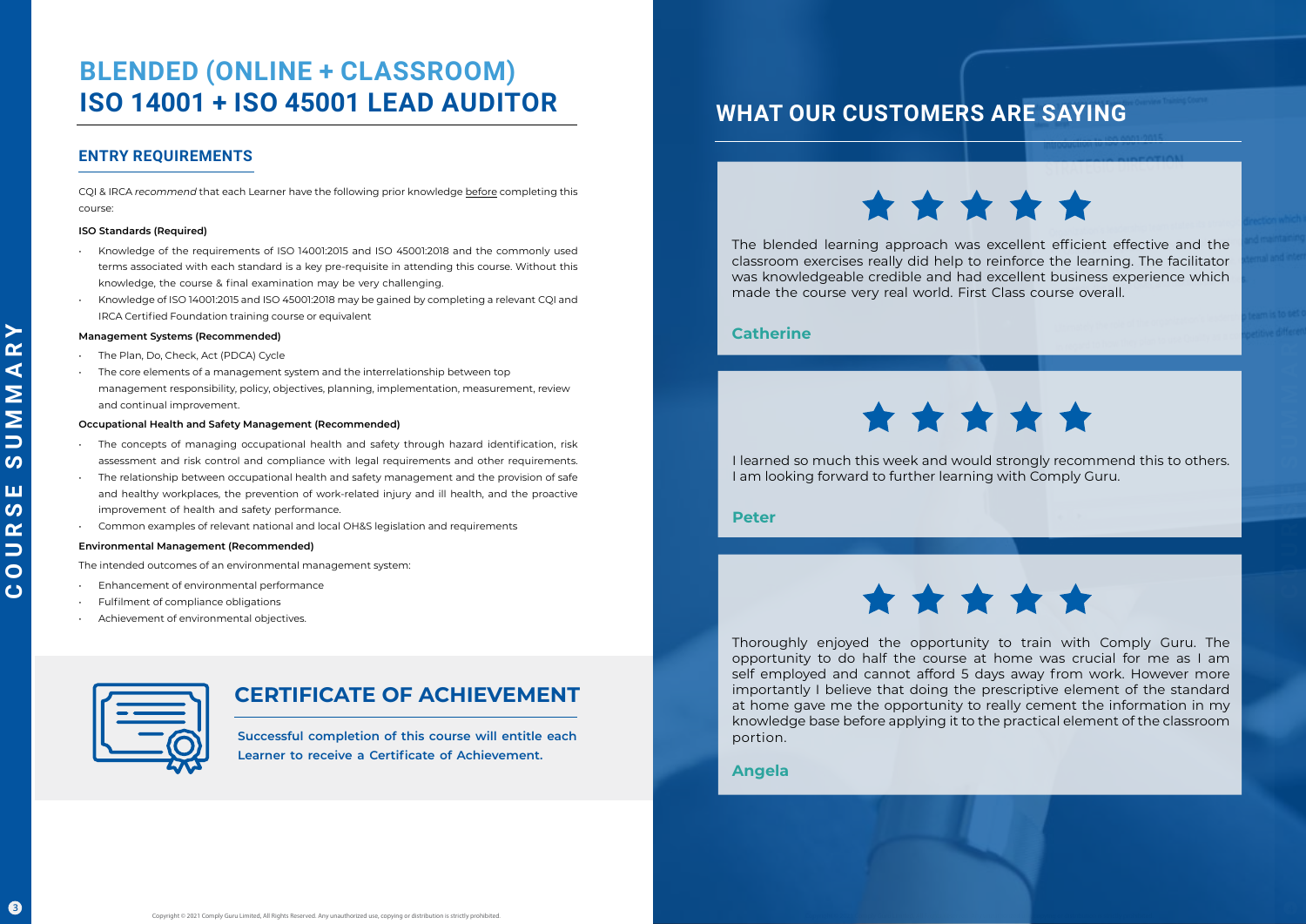$\blacktriangleright$  $\alpha$  $\blacktriangleleft$  CQI & IRCA *recommend* that each Learner have the following prior knowledge before completing this course:

### **ISO Standards (Required)**

- Knowledge of the requirements of ISO 14001:2015 and ISO 45001:2018 and the commonly used terms associated with each standard is a key pre-requisite in attending this course. Without this knowledge, the course & final examination may be very challenging.
- Knowledge of ISO 14001:2015 and ISO 45001:2018 may be gained by completing a relevant CQI and IRCA Certified Foundation training course or equivalent

- The concepts of managing occupational health and safety through hazard identification, risk assessment and risk control and compliance with legal requirements and other requirements.
- The relationship between occupational health and safety management and the provision of safe and healthy workplaces, the prevention of work-related injury and ill health, and the proactive improvement of health and safety performance.
- Common examples of relevant national and local OH&S legislation and requirements

### **Management Systems (Recommended)**

- Enhancement of environmental performance
- Fulfilment of compliance obligations
- Achievement of environmental objectives.



- The Plan, Do, Check, Act (PDCA) Cycle
- The core elements of a management system and the interrelationship between top management responsibility, policy, objectives, planning, implementation, measurement, review and continual improvement.

### **Occupational Health and Safety Management (Recommended)**

### **Environmental Management (Recommended)**

The intended outcomes of an environmental management system:

## **CERTIFICATE OF ACHIEVEMENT**

## **BLENDED (ONLINE + CLASSROOM) ISO 14001 + ISO 45001 LEAD AUDITOR**

**Successful completion of this course will entitle each Learner to receive a Certificate of Achievement.**

## **ENTRY REQUIREMENTS**

## **WHAT OUR CUSTOMERS ARE SAYING**

\*\*\*\*\*

The blended learning approach was excellent efficient effective and the classroom exercises really did help to reinforce the learning. The facilitator was knowledgeable credible and had excellent business experience which made the course very real world. First Class course overall.

## **Catherine**



I learned so much this week and would strongly recommend this to others. I am looking forward to further learning with Comply Guru.

**COURSE SUMMARY SUMMARY** 

**Peter**



Thoroughly enjoyed the opportunity to train with Comply Guru. The opportunity to do half the course at home was crucial for me as I am self employed and cannot afford 5 days away from work. However more importantly I believe that doing the prescriptive element of the standard at home gave me the opportunity to really cement the information in my knowledge base before applying it to the practical element of the classroom portion.

## **Angela**